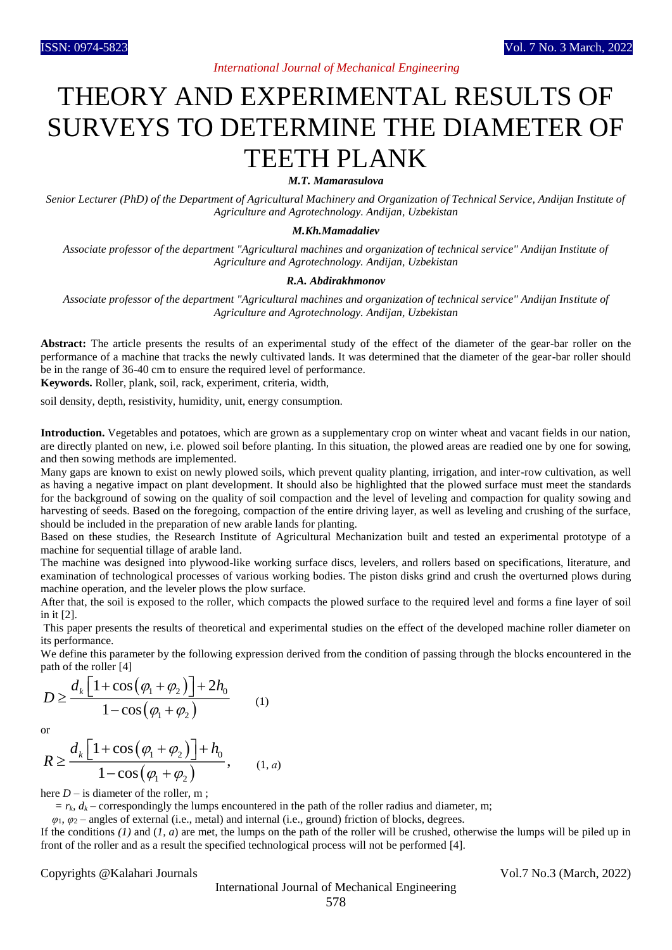## THEORY AND EXPERIMENTAL RESULTS OF SURVEYS TO DETERMINE THE DIAMETER OF TEETH PLANK

*M.T. Mamarasulova*

*Senior Lecturer (PhD) of the Department of Agricultural Machinery and Organization of Technical Service, Andijan Institute of Agriculture and Agrotechnology. Andijan, Uzbekistan*

## *M.Kh.Mamadaliev*

*Associate professor of the department "Agricultural machines and organization of technical service" Andijan Institute of Agriculture and Agrotechnology. Andijan, Uzbekistan*

## *R.A. Abdirakhmonov*

*Associate professor of the department "Agricultural machines and organization of technical service" Andijan Institute of Agriculture and Agrotechnology. Andijan, Uzbekistan*

**Abstract:** The article presents the results of an experimental study of the effect of the diameter of the gear-bar roller on the performance of a machine that tracks the newly cultivated lands. It was determined that the diameter of the gear-bar roller should be in the range of 36-40 cm to ensure the required level of performance.

**Keywords.** Roller, plank, soil, rack, experiment, criteria, width,

soil density, depth, resistivity, humidity, unit, energy consumption.

**Introduction.** Vegetables and potatoes, which are grown as a supplementary crop on winter wheat and vacant fields in our nation, are directly planted on new, i.e. plowed soil before planting. In this situation, the plowed areas are readied one by one for sowing, and then sowing methods are implemented.

Many gaps are known to exist on newly plowed soils, which prevent quality planting, irrigation, and inter-row cultivation, as well as having a negative impact on plant development. It should also be highlighted that the plowed surface must meet the standards for the background of sowing on the quality of soil compaction and the level of leveling and compaction for quality sowing and harvesting of seeds. Based on the foregoing, compaction of the entire driving layer, as well as leveling and crushing of the surface, should be included in the preparation of new arable lands for planting.

Based on these studies, the Research Institute of Agricultural Mechanization built and tested an experimental prototype of a machine for sequential tillage of arable land.

The machine was designed into plywood-like working surface discs, levelers, and rollers based on specifications, literature, and examination of technological processes of various working bodies. The piston disks grind and crush the overturned plows during machine operation, and the leveler plows the plow surface.

After that, the soil is exposed to the roller, which compacts the plowed surface to the required level and forms a fine layer of soil in it [2].

This paper presents the results of theoretical and experimental studies on the effect of the developed machine roller diameter on its performance.

We define this parameter by the following expression derived from the condition of passing through the blocks encountered in the path of the roller [4]

$$
D \ge \frac{d_k \left[1 + \cos\left(\varphi_1 + \varphi_2\right)\right] + 2h_0}{1 - \cos\left(\varphi_1 + \varphi_2\right)}\tag{1}
$$

or

$$
R \ge \frac{d_k \left[1 + \cos\left(\varphi_1 + \varphi_2\right)\right] + h_0}{1 - \cos\left(\varphi_1 + \varphi_2\right)}, \qquad (1, a)
$$

here  $D -$  is diameter of the roller, m;

 $r_k$ ,  $d_k$  – correspondingly the lumps encountered in the path of the roller radius and diameter, m;

 *φ*1, *φ*<sup>2</sup> – angles of external (i.e., metal) and internal (i.e., ground) friction of blocks, degrees.

If the conditions (1) and (1, a) are met, the lumps on the path of the roller will be crushed, otherwise the lumps will be piled up in front of the roller and as a result the specified technological process will not be performed [4].

Copyrights @Kalahari Journals Vol.7 No.3 (March, 2022)

International Journal of Mechanical Engineering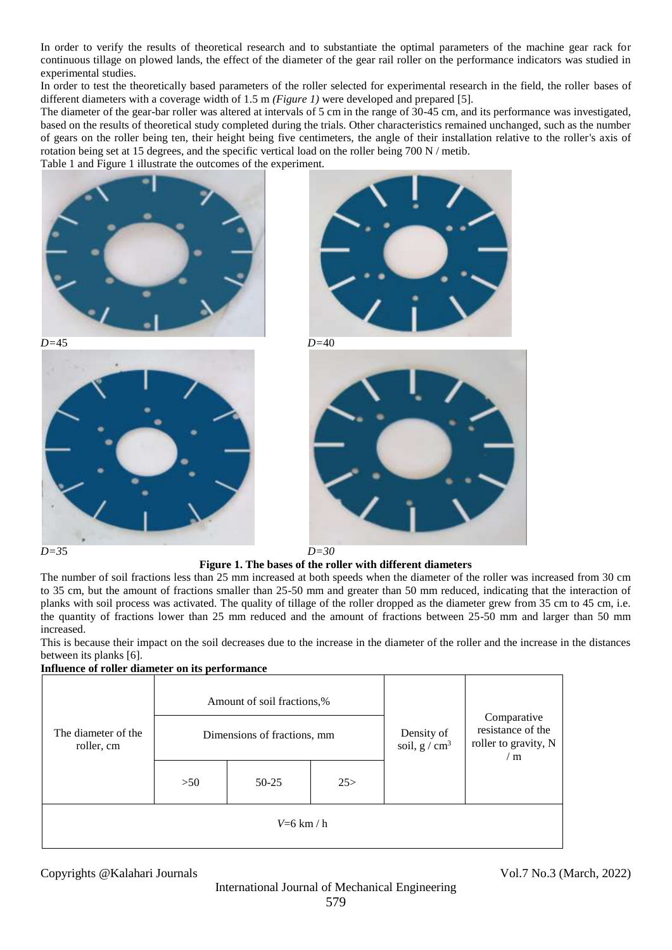In order to verify the results of theoretical research and to substantiate the optimal parameters of the machine gear rack for continuous tillage on plowed lands, the effect of the diameter of the gear rail roller on the performance indicators was studied in experimental studies.

In order to test the theoretically based parameters of the roller selected for experimental research in the field, the roller bases of different diameters with a coverage width of 1.5 m *(Figure 1)* were developed and prepared [5].

The diameter of the gear-bar roller was altered at intervals of 5 cm in the range of 30-45 cm, and its performance was investigated, based on the results of theoretical study completed during the trials. Other characteristics remained unchanged, such as the number of gears on the roller being ten, their height being five centimeters, the angle of their installation relative to the roller's axis of rotation being set at 15 degrees, and the specific vertical load on the roller being  $700 \text{ N}$  / metib.

Table 1 and Figure 1 illustrate the outcomes of the experiment.









**Figure 1. The bases of the roller with different diameters**

The number of soil fractions less than 25 mm increased at both speeds when the diameter of the roller was increased from 30 cm to 35 cm, but the amount of fractions smaller than 25-50 mm and greater than 50 mm reduced, indicating that the interaction of planks with soil process was activated. The quality of tillage of the roller dropped as the diameter grew from 35 cm to 45 cm, i.e. the quantity of fractions lower than 25 mm reduced and the amount of fractions between 25-50 mm and larger than 50 mm increased.

This is because their impact on the soil decreases due to the increase in the diameter of the roller and the increase in the distances between its planks [6].

| Influence of roller diameter on its performance |                             |              |      |                              |                                                                            |
|-------------------------------------------------|-----------------------------|--------------|------|------------------------------|----------------------------------------------------------------------------|
| The diameter of the<br>roller, cm               | Amount of soil fractions,%  |              |      | Density of<br>soil, $g/cm^3$ | Comparative<br>resistance of the<br>roller to gravity, N<br>$\rm \prime$ m |
|                                                 | Dimensions of fractions, mm |              |      |                              |                                                                            |
|                                                 | >50                         | $50 - 25$    | 25 > |                              |                                                                            |
|                                                 |                             | $V=6$ km / h |      |                              |                                                                            |

Copyrights @Kalahari Journals Vol.7 No.3 (March, 2022)

International Journal of Mechanical Engineering 579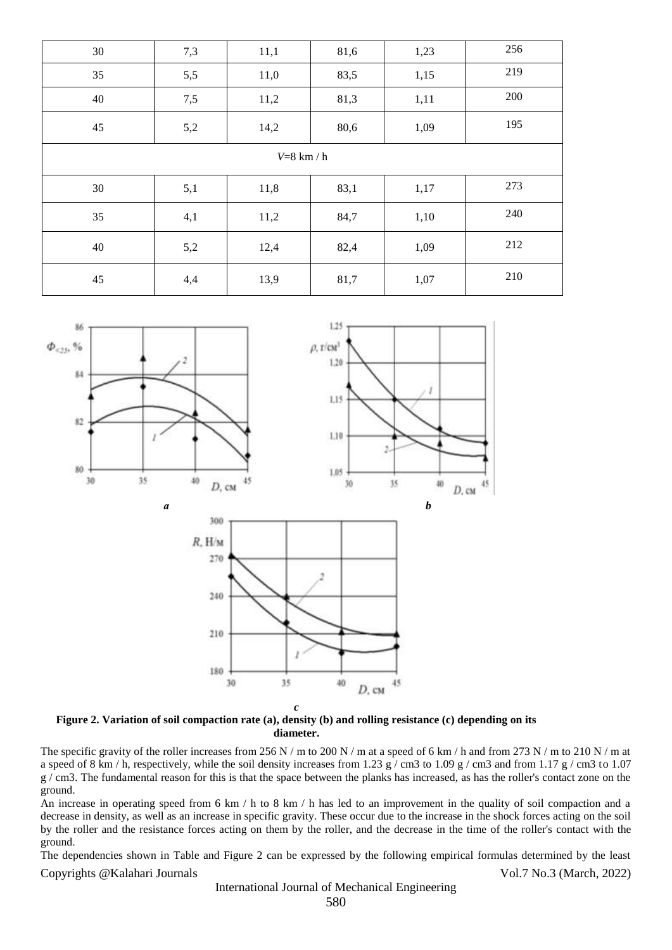| 30           | 7,3 | 11,1 | 81,6 | 1,23 | 256 |  |  |  |
|--------------|-----|------|------|------|-----|--|--|--|
| 35           | 5,5 | 11,0 | 83,5 | 1,15 | 219 |  |  |  |
| 40           | 7,5 | 11,2 | 81,3 | 1,11 | 200 |  |  |  |
| 45           | 5,2 | 14,2 | 80,6 | 1,09 | 195 |  |  |  |
| $V=8$ km / h |     |      |      |      |     |  |  |  |
| 30           | 5,1 | 11,8 | 83,1 | 1,17 | 273 |  |  |  |
| 35           | 4,1 | 11,2 | 84,7 | 1,10 | 240 |  |  |  |
| 40           | 5,2 | 12,4 | 82,4 | 1,09 | 212 |  |  |  |
| 45           | 4,4 | 13,9 | 81,7 | 1,07 | 210 |  |  |  |



**Figure 2. Variation of soil compaction rate (a), density (b) and rolling resistance (c) depending on its diameter.**

The specific gravity of the roller increases from 256 N / m to 200 N / m at a speed of 6 km / h and from 273 N / m to 210 N / m at a speed of 8 km / h, respectively, while the soil density increases from 1.23 g / cm3 to 1.09 g / cm3 and from 1.17 g / cm3 to 1.07 g / cm3. The fundamental reason for this is that the space between the planks has increased, as has the roller's contact zone on the ground.

An increase in operating speed from 6 km / h to 8 km / h has led to an improvement in the quality of soil compaction and a decrease in density, as well as an increase in specific gravity. These occur due to the increase in the shock forces acting on the soil by the roller and the resistance forces acting on them by the roller, and the decrease in the time of the roller's contact with the ground.

Copyrights @Kalahari Journals Vol.7 No.3 (March, 2022) The dependencies shown in Table and Figure 2 can be expressed by the following empirical formulas determined by the least

International Journal of Mechanical Engineering